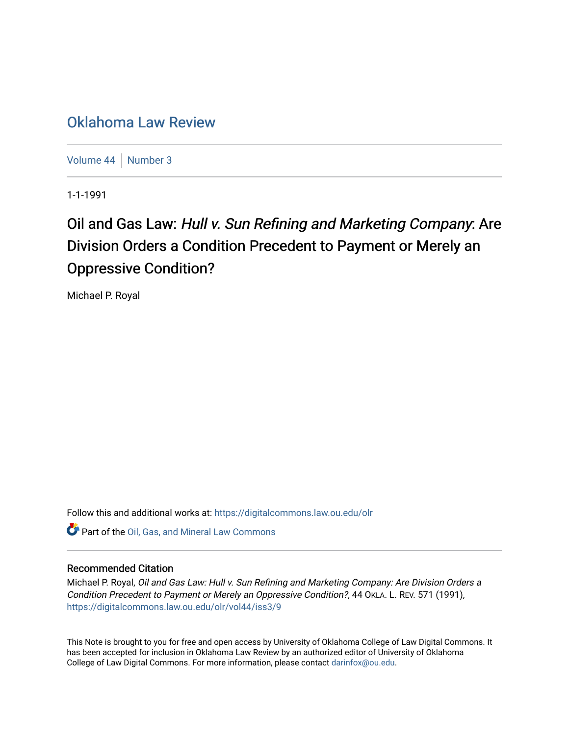## [Oklahoma Law Review](https://digitalcommons.law.ou.edu/olr)

[Volume 44](https://digitalcommons.law.ou.edu/olr/vol44) | [Number 3](https://digitalcommons.law.ou.edu/olr/vol44/iss3)

1-1-1991

# Oil and Gas Law: Hull v. Sun Refining and Marketing Company: Are Division Orders a Condition Precedent to Payment or Merely an Oppressive Condition?

Michael P. Royal

Follow this and additional works at: [https://digitalcommons.law.ou.edu/olr](https://digitalcommons.law.ou.edu/olr?utm_source=digitalcommons.law.ou.edu%2Folr%2Fvol44%2Fiss3%2F9&utm_medium=PDF&utm_campaign=PDFCoverPages)

Part of the [Oil, Gas, and Mineral Law Commons](http://network.bepress.com/hgg/discipline/864?utm_source=digitalcommons.law.ou.edu%2Folr%2Fvol44%2Fiss3%2F9&utm_medium=PDF&utm_campaign=PDFCoverPages) 

### Recommended Citation

Michael P. Royal, Oil and Gas Law: Hull v. Sun Refining and Marketing Company: Are Division Orders a Condition Precedent to Payment or Merely an Oppressive Condition?, 44 OKLA. L. REV. 571 (1991), [https://digitalcommons.law.ou.edu/olr/vol44/iss3/9](https://digitalcommons.law.ou.edu/olr/vol44/iss3/9?utm_source=digitalcommons.law.ou.edu%2Folr%2Fvol44%2Fiss3%2F9&utm_medium=PDF&utm_campaign=PDFCoverPages) 

This Note is brought to you for free and open access by University of Oklahoma College of Law Digital Commons. It has been accepted for inclusion in Oklahoma Law Review by an authorized editor of University of Oklahoma College of Law Digital Commons. For more information, please contact [darinfox@ou.edu.](mailto:darinfox@ou.edu)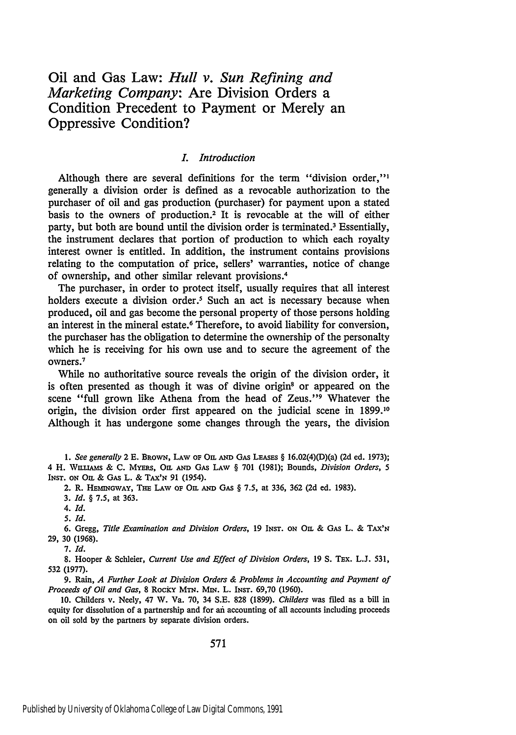## Oil and Gas Law: *Hull v. Sun Refining and Marketing Company:* Are Division Orders a Condition Precedent to Payment or Merely an Oppressive Condition?

#### *L Introduction*

Although there are several definitions for the term "division order,"' generally a division order is defined as a revocable authorization to the purchaser of oil and gas production (purchaser) for payment upon a stated basis to the owners of production.<sup>2</sup> It is revocable at the will of either party, but both are bound until the division order is terminated.3 Essentially, the instrument declares that portion of production to which each royalty interest owner is entitled. In addition, the instrument contains provisions relating to the computation of price, sellers' warranties, notice of change of ownership, and other similar relevant provisions.4

The purchaser, in order to protect itself, usually requires that all interest holders execute a division order.<sup>5</sup> Such an act is necessary because when produced, oil and gas become the personal property of those persons holding an interest in the mineral estate.6 Therefore, to avoid liability for conversion, the purchaser has the obligation to determine the ownership of the personalty which he is receiving for his own use and to secure the agreement of the where it

While no authoritative source reveals the origin of the division order, it is often presented as though it was of divine origin<sup>8</sup> or appeared on the scene "full grown like Athena from the head of Zeus."<sup>9</sup> Whatever the origin, the division order first appeared on the judicial scene in 1899.10 Although it has undergone some changes through the years, the division

*1. See generally* 2 E. BRowN, LAW oF O. **AND** GAs **LEAsES** § 16.02(4)(D)(a) (2d ed. 1973); 4 H. WILLIAMS & C. MYERS, OIL AND GAS LAW § 701 (1981); Bounds, *Division Orders*, 5 **INST. oN** Om & GAs L. & TAx'N 91 (1954).

2. R. *HEMNGWAY,* **THE** LAw **op** Om **AND** GA § 7.5, at 336, 362 (2d ed. 1983).

3. *Id.* § 7.5, at 363.

4. **Id.**

*5. Id.*

6. Gregg, *Title Examination and Division Orders*, 19 INST. ON On. & GAS L. & TAX'N 29, 30 (1968).

**7.** Id.

8. Hooper & Schleier, *Current Use and Effect of Division Orders*, 19 S. TEx. L.J. 531, 532 (1977).

9. Rain, *A Further Look at Division Orders & Problems in Accounting and Payment of Proceeds of Oil and Gas,* 8 Rocky MTN. MiN. L. **IN sT.** 69,70 (1960).

10. Childers v. Neely, 47 W. Va. 70, 34 S.E. 828 (1899). *Childers* was filed as a bill in equity for dissolution of a partnership and for ai accounting of all accounts including proceeds on oil sold by the partners by separate division orders.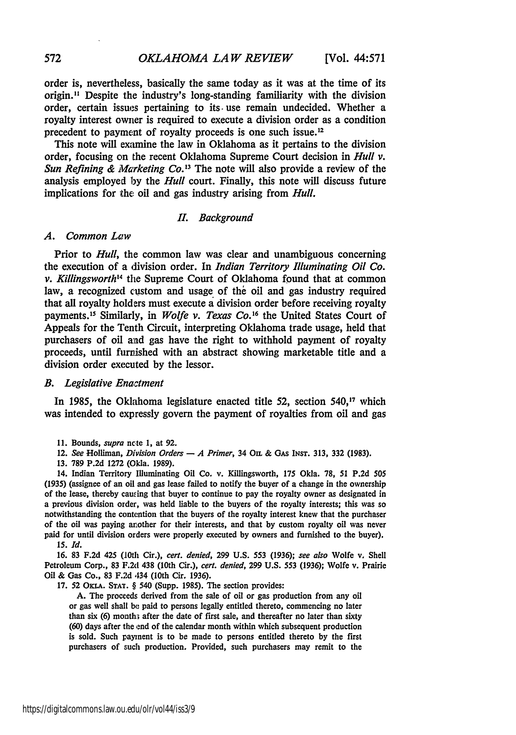order is, nevertheless, basically the same today as it was at the time of its origin." Despite the industry's long-standing familiarity with the division order, certain issues pertaining to its. use remain undecided. Whether a royalty interest owner is required to execute a division order as a condition precedent to payment of royalty proceeds is one such issue. <sup>12</sup>

This note will examine the law in Oklahoma as it pertains to the division order, focusing on the recent Oklahoma Supreme Court decision in *Hull v. Sun Refining & Marketing Co.'3* The note will also provide a review of the analysis employed **by** the *Hull* court. Finally, this note will discuss future implications for the oil and gas industry arising from *Hull.*

#### *II. Background*

#### A. **Common Law**

Prior to *Hull,* the common law was clear and unambiguous concerning the execution of a division order. In *Indian Territory Illuminating Oil Co. v. Kilhingsworth"4* the Supreme Court of Oklahoma found that at common law, a recognized custom and usage of the oil and gas industry required that all royalty holders must execute a division order before receiving royalty payments.<sup>15</sup> Similarly, in *Wolfe v. Texas Co.*<sup>16</sup> the United States Court of Appeals for the Tenth Circuit, interpreting Oklahoma trade usage, held that purchasers of oil **and** gas have the right to withhold payment of royalty proceeds, until furnished with an abstract showing marketable title and a division order executed **by** the lessor.

#### *B. Legislative Enatment*

In **1985,** the Oklahoma legislature enacted title **52,** section **540,' <sup>7</sup>**which was intended to expressly govern the payment of royalties from oil and gas

- 12. *See* Holliman, Division *Orders* **-** *A Primer,* 34 Om **& GAs INST. 313, 332 (1983).**
- **13. 789 P.2d 1272** (Okla. **1989).**

14. Indian Territory Illuminating Oil Co. v. Killingsworth, **175** Okla. **78, 51 P.2d 505 (1935)** (assignee of an **oil** and gas lease failed to notify the buyer of a change in the ownership of the lease, thereby caucing that buyer to continue to pay the royalty owner as designated in a previous division order, was held liable to the buyers of the royalty interests; this was so notwithstanding the contention that the buyers of the royalty interest knew that the purchaser of the oil was paying another for their interests, and that **by** custom royalty oil was never paid for until division orders were properly executed **by** owners and furnished to the buyer).

*15. Id.*

**16. 83 F.2d** 425 **(10th** Cir.), *cert. denied,* **299 U.S. 553 (1936);** *see also* Wolfe **v,** Shell Petroleum Corp., **83** F.2d 438 (10th Cir.), *cert. denied,* **299 U.S. 553 (1936);** Wolfe v. Prairie **Oil &** Gas Co., **83 F.2d** 434 (10th Cir. **1936).**

**17.** 52 **OKLA. STAT. §** 540 (Supp. **1985).** The section provides:

**A.** The proceeds derived from the sale of oil or gas production from any oil or gas well shall **be** paid to persons legally entitled thereto, commencing no later than six **(6)** month: after the date of first sale, and thereafter no later than sixty **(60)** days after the end of the calendar month within which subsequent production is sold. Such payment is to be made to persons entitled thereto by the first purchasers of such production. Provided, such purchasers may remit to the

**<sup>11.</sup>** Bounds, *supra* ncte **1,** at **92.**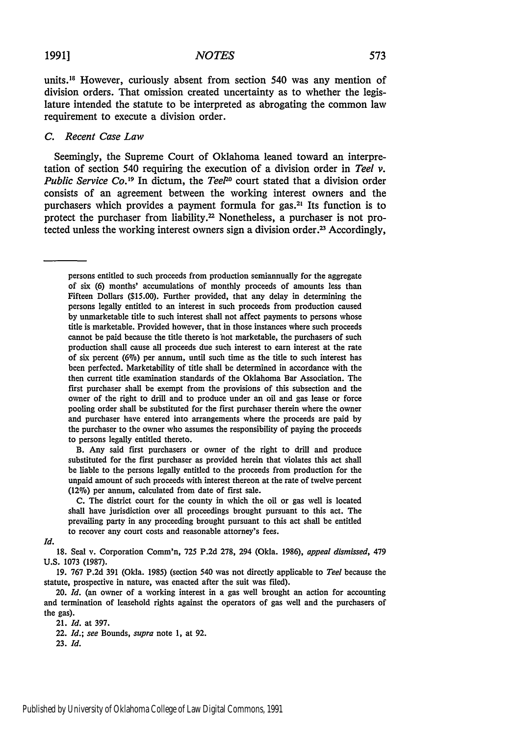#### *NOTES*

units.<sup>18</sup> However, curiously absent from section 540 was any mention of division orders. That omission created uncertainty as to whether the legislature intended the statute to be interpreted as abrogating the common law requirement to execute a division order.

#### *C. Recent Case Law*

Seemingly, the Supreme Court of Oklahoma leaned toward an interpretation of section 540 requiring the execution of a division order in *Teel v. Public Service Co.19* In dictum, the *Teel0* court stated that a division order consists of an agreement between the working interest owners and the purchasers which provides a payment formula for gas.<sup>21</sup> Its function is to protect the purchaser from liability.<sup>22</sup> Nonetheless, a purchaser is not protected unless the working interest owners sign a division order.<sup>23</sup> Accordingly,

persons entitled to such proceeds from production semiannually for the aggregate of six (6) months' accumulations of monthly proceeds of amounts less than Fifteen Dollars (\$15.00). Further provided, that any delay in determining the persons legally entitled to an interest in such proceeds from production caused by unmarketable title to such interest shall not affect payments to persons whose title is marketable. Provided however, that in those instances where such proceeds cannot be paid because the title thereto is hot marketable, the purchasers of such production shall cause all proceeds due such interest to earn interest at the rate of six percent (6%) per annum, until such time as the title to such interest has been perfected. Marketability of title shall be determined in accordance with the then current title examination standards of the Oklahoma Bar Association. The first purchaser shall be exempt from the provisions of this subsection and the owner of the right to drill and to produce under an oil and gas lease or force pooling order shall be substituted for the first purchaser therein where the owner and purchaser have entered into arrangements where the proceeds are paid by the purchaser to the owner who assumes the responsibility of paying the proceeds to persons legally entitled thereto.

B. Any said first purchasers or owner of the right to drill and produce substituted for the first purchaser as provided herein that violates this act shall be liable to the persons legally entitled to the proceeds from production for the unpaid amount of such proceeds with interest thereon at the rate of twelve percent (12%) per annum, calculated from date of first sale.

C. The district court for the county in which the oil or gas well is located shall have jurisdiction over all proceedings brought pursuant to this act. The prevailing party in any proceeding brought pursuant to this act shall be entitled to recover any court costs and reasonable attorney's fees.

*Id.*

18. Seal v. Corporation Comm'n, 725 P.2d 278, 294 (Okla. 1986), *appeal dismissed,* 479 U.S. 1073 (1987).

19. 767 P.2d 391 (Okla. 1985) (section 540 was not directly applicable to *Teel* because the statute, prospective in nature, was enacted after the suit was filed).

20. *Id.* (an owner of a working interest in a gas well brought an action for accounting and termination of leasehold rights against the operators of gas well and the purchasers of the gas).

21. *Id.* at 397. 22. *Id.; see* Bounds, *supra* note 1, at 92. 23. *Id.*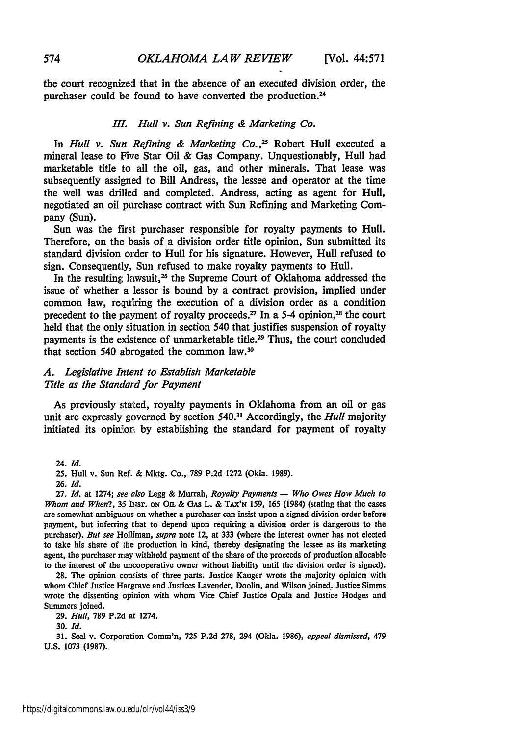the court recognized that in the absence of an executed division order, the purchaser could be found to have converted the production.<sup>24</sup>

#### *Ill. Hull v. Sun Refining & Marketing Co.*

In *Hull v. Sun Refining & Marketing Co.,25* Robert Hull executed a mineral lease to Five Star Oil & Gas Company. Unquestionably, Hull had marketable title to all the oil, gas, and other minerals. That lease was subsequently assigned to Bill Andress, the lessee and operator at the time the well was drilled and completed. Andress, acting as agent for Hull, negotiated an oil purchase contract with Sun Refining and Marketing Company (Sun).

Sun was the first purchaser responsible for royalty payments to Hull. Therefore, on the basis of a division order title opinion, Sun submitted its standard division order to Hull for his signature. However, Hull refused to sign. Consequently, Sun refused to make royalty payments to Hull.

In the resulting lawsuit,<sup>26</sup> the Supreme Court of Oklahoma addressed the issue of whether a lessor is bound by a contract provision, implied under common law, requiring the execution of a division order as a condition precedent to the payment of royalty proceeds.<sup>27</sup> In a 5-4 opinion,<sup>28</sup> the court held that the only situation in section 540 that justifies suspension of royalty payments is the existence of unmarketable title.<sup>29</sup> Thus, the court concluded that section 540 abrogated the common law.30

#### *A. Legislative Intent to Establish Marketable Title as the Standard for Payment*

As previously stated, royalty payments in Oklahoma from an oil or gas unit are expressly governed **by** section **540. 31** Accordingly, the *Hull* majority initiated its opinion **by** establishing the standard for payment of royalty

24. *Id.*

**26.** *Id.*

**27.** *Id.* at 1274; *see also* Legg & Murrah, *Royalty Payments* **-** *Who Owes How Much to Whom and When?,* **35 lNsT. oN** Om **& GAs** L. **& TAX'N 159, 165** (1984) (stating that the cases are somewhat ambiguous on whether a purchaser can insist upon a signed division order before payment, but inferring that to depend upon requiring a division order is dangerous to the purchaser). *But see* Holliman, *supra* note 12, at **333** (where the interest owner has not elected to take his share of the production in kind, thereby designating the lessee as its marketing agent, the purchaser may withhold payment of the share of the proceeds of production allocable to the interest of the uncooperative owner without liability until the division order is signed).

**28.** The opinion contists of three parts. Justice Kauger wrote the majority opinion with whom Chief Justice Hargrave and Justices Lavender, Doolin, and Wilson joined. Justice Simms wrote the dissenting opinion with whom Vice Chief Justice Opala and Justice Hodges and Summers joined.

**29.** *Hull,* **789 P.2d** at 1274.

**31.** Seal v. Corporation Comm'n, **725** P.2d 278, 294 (Okla. **1986),** *appeal dismissed,* 479 U.S. 1073 (1987).

**<sup>25.</sup>** Hull v. Sun Ref. **&** Mktg. Co., **789 P.2d 1272** (Okla. **1989).**

**<sup>30.</sup>** *Id.*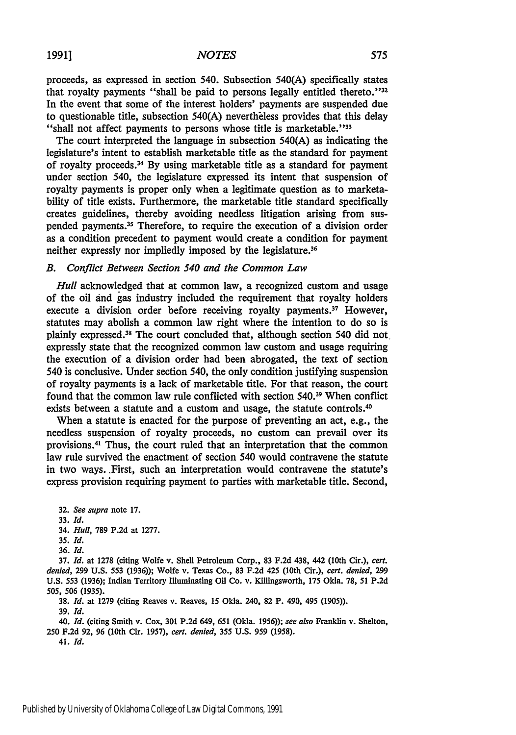#### *NOTES*

proceeds, as expressed in section 540. Subsection 540(A) specifically states that royalty payments "shall be paid to persons legally entitled thereto."<sup>32</sup> In the event that some of the interest holders' payments are suspended due to questionable title, subsection 540(A) nevertheless provides that this delay "shall not affect payments to persons whose title is marketable."  $33$ 

The court interpreted the language in subsection 540(A) as indicating the legislature's intent to establish marketable title as the standard for payment of royalty proceeds.<sup>34</sup> By using marketable title as a standard for payment under section 540, the legislature expressed its intent that suspension of royalty payments is proper only when a legitimate question as to marketability of title exists. Furthermore, the marketable title standard specifically creates guidelines, thereby avoiding needless litigation arising from suspended payments.<sup>35</sup> Therefore, to require the execution of a division order as a condition precedent to payment would create a condition for payment neither expressly nor impliedly imposed by the legislature.<sup>36</sup>

#### *B. Conflict Between Section 540 and the Common Law*

*Hull* acknowledged that at common law, a recognized custom and usage of the oil *and* gas industry included the requirement that royalty holders execute a division order before receiving royalty payments.<sup>37</sup> However, statutes may abolish a common law right where the intention to do so is plainly expressed.<sup>38</sup> The court concluded that, although section 540 did not. expressly state that the recognized common law custom and usage requiring the execution of a division order had been abrogated, the text of section 540 is conclusive. Under section 540, the only condition justifying suspension of royalty payments is a lack of marketable title. For that reason, the court found that the common law rule conflicted with section **540. <sup>39</sup>**When conflict exists between a statute and a custom and usage, the statute controls.<sup>40</sup>

When a statute is enacted for the purpose of preventing an act, e.g., the needless suspension of royalty proceeds, no custom can prevail over its provisions. 41 Thus, the court ruled that an interpretation that the common law rule survived the enactment of section 540 would contravene the statute in two ways..First, such an interpretation would contravene the statute's express provision requiring payment to parties with marketable title. Second,

32. *See supra* note 17.

33. *Id.*

34. *Hull,* 789 P.2d at 1277.

35. *Id.*

36. *Id.*

37. *Id.* at 1278 (citing Wolfe v. Shell Petroleum Corp., 83 F.2d 438, 442 (10th Cir.), *cert. denied,* 299 U.S. 553 (1936)); Wolfe v. Texas Co., 83 F.2d 425 (10th Cir.), *cert. denied, 299* U.S. 553 (1936); Indian Territory Illuminating Oil Co. v. Killingsworth, 175 Okla. 78, 51 P.2d 505, 506 **(1935).**

**38.** *Id.* at 1279 (citing Reaves v. Reaves, 15 Okla. 240, 82 P. 490, 495 (1905)). **39.** *Id.*

*40. Id.* (citing Smith v. Cox, 301 P.2d 649, 651 (Okla. 1956)); *see also* Franklin v. Shelton, 250 F.2d **92, 96** (10th Cir. 1957), *cert. denied,* 355 U.S. **959** (1958).

41. *Id.*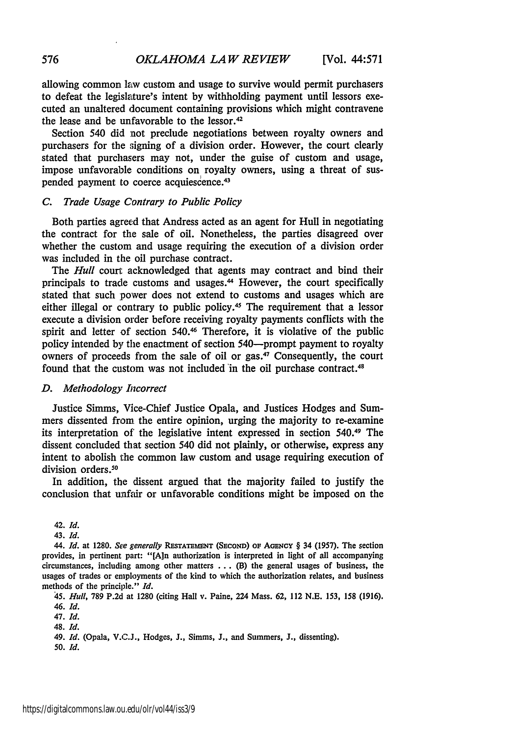allowing common law custom and usage to survive would permit purchasers to defeat the legislature's intent by withholding payment until lessors executed an unaltered document containing provisions which might contravene the lease and be unfavorable to the lessor. <sup>42</sup>

Section 540 did not preclude negotiations between royalty owners and purchasers for the signing of a division order. However, the court clearly stated that purchasers may not, under the guise of custom and usage, impose unfavorable conditions on royalty owners, using a threat of suspended payment to coerce acquiescence.<sup>43</sup>

#### *C. Trade Usage Contrary to Public Policy*

Both parties agreed that Andress acted as an agent for Hull in negotiating the contract for the sale of oil. Nonetheless, the parties disagreed over whether the custom and usage requiring the execution of a division order was included in the oil purchase contract.

The *Hull* court acknowledged that agents may contract and bind their principals to trade customs and usages. 44 However, the court specifically stated that such power does not extend to customs and usages which are either illegal or contrary to public policy.<sup>45</sup> The requirement that a lessor execute a division order before receiving royalty payments conflicts with the spirit and letter of section 540.<sup>46</sup> Therefore, it is violative of the public policy intended by the enactment of section 540-prompt payment to royalty owners of proceeds from the sale of oil or gas.<sup>47</sup> Consequently, the court found that the custom was not included *'in* the oil purchase contract.<sup>48</sup>

#### *D. Methodology Incorrect*

Justice Simms, Vice-Chief Justice Opala, and Justices Hodges and Summers dissented from the entire opinion, urging the majority to re-examine its interpretation of the legislative intent expressed in section 540.49 The dissent concluded that section 540 did not plainly, or otherwise, express any intent to abolish the common law custom and usage requiring execution of division orders.<sup>50</sup>

In addition, the dissent argued that the majority failed to justify the conclusion that unfair or unfavorable conditions might be imposed on the

*45. Hull,* 789 P.2d at 1280 (citing Hall v. Paine, 224 Mass. 62, 112 N.E. 153, **158** (1916). 46. *Id.*

47. *Id.*

48. *Id.*

49. **Id.** (Opala, V.C.J., Hodges, J., Simms, J., and Summers, J., dissenting). 50. *Id.*

576

<sup>42.</sup> *Id.*

<sup>43.</sup> *Id.*

<sup>44.</sup> *Id.* at **1280.** *See generally* **RESTATEMENT (SECOND)** OF **AGENcY** § 34 (1957). The section provides, in pertinent part: **"[Ain** authorization is interpreted in light of all accompanying circumstances, including among other matters  $\dots$  (B) the general usages of business, the usages of trades or employments of the kind to which the authorization relates, and business methods of the principle." *Id.*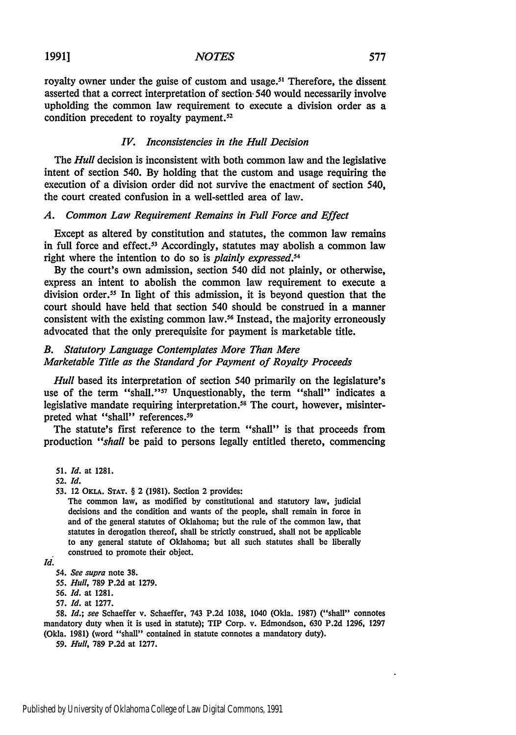#### *NOTES*

royalty owner under the guise of custom and usage.<sup>51</sup> Therefore, the dissent asserted that a correct interpretation of section. 540 would necessarily involve upholding the common law requirement to execute a division order as a condition precedent to royalty payment.<sup>52</sup>

#### *IV. Inconsistencies in the Hull Decision*

The *Hull* decision is inconsistent with both common law and the legislative intent of section 540. By holding that the custom and usage requiring the execution of a division order did not survive the enactment of section 540, the court created confusion in a well-settled area of law.

#### *A. Common Law Requirement Remains in Full Force and Effect*

Except as altered by constitution and statutes, the common law remains in full force and effect.<sup>53</sup> Accordingly, statutes may abolish a common law right where the intention to do so is *plainly expressed.5 <sup>4</sup>*

By the court's own admission, section 540 did not plainly, or otherwise, express an intent to abolish the common law requirement to execute a division order.<sup>55</sup> In light of this admission, it is beyond question that the court should have held that section 540 should be construed in a manner consistent with the existing common law.56 Instead, the majority erroneously advocated that the only prerequisite for payment is marketable title.

#### *B. Statutory Language Contemplates More Than Mere Marketable Title as the Standard for Payment of Royalty Proceeds*

*Hull* based its interpretation of section 540 primarily on the legislature's use of the term "shall."<sup>57</sup> Unquestionably, the term "shall" indicates a legislative mandate requiring interpretation.<sup>58</sup> The court, however, misinterpreted what "shall" references.<sup>59</sup>

The statute's first reference to the term "shall" is that proceeds from production *"shall* be paid to persons legally entitled thereto, commencing

**51.** *Id.* at **1281.**

**53.** 12 OKLA. **STAT.** § 2 (1981). Section 2 provides:

The common law, as modified by constitutional and statutory law, judicial decisions and the condition and wants of the people, shall remain in force in and of the general statutes of Oklahoma; but the rule of the common law, that statutes in derogation thereof, shall be strictly construed, shall not be applicable to any general statute of Oklahoma; but all such statutes shall be liberally construed to promote their object.

55. *Hull,* 789 P.2d at 1279.

*56. Id.* at 1281.

**58.** *Id.; see* Schaeffer v. Schaeffer, 743 P.2d 1038, 1040 (Okla. 1987) ("shall" connotes mandatory duty when it is used in statute); TIP Corp. v. Edmondson, 630 P.2d 1296, 1297 (Okla. **1981)** (word "shall" contained in statute connotes a mandatory duty).

59. *Hull,* **789** P.2d at 1277.

<sup>52.</sup> *Id.*

*Id.*

*<sup>54.</sup> See supra* note **38.**

<sup>57.</sup> *Id.* at 1277.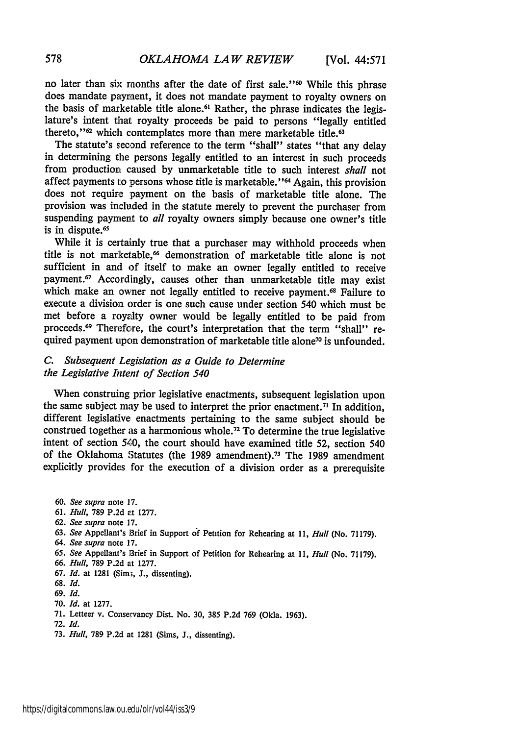no later than six months after the date of first sale."<sup>60</sup> While this phrase does mandate payment, it does not mandate payment to royalty owners on the basis of marketable title alone.<sup>61</sup> Rather, the phrase indicates the legislature's intent that royalty proceeds be paid to persons "legally entitled thereto,"<sup>62</sup> which contemplates more than mere marketable title.<sup>63</sup>

The statute's second reference to the term "shall" states "that any delay in determining the persons legally entitled to an interest in such proceeds from production caused by unmarketable title to such interest *shall* not affect payments to persons whose title is marketable.' **' <sup>64</sup>**Again, this provision does not require payment on the basis of marketable title alone. The provision was included in the statute merely to prevent the purchaser from suspending payment to *all* royalty owners simply because one owner's title is in dispute.<sup>65</sup>

While it is certainly true that a purchaser may withhold proceeds when title is not marketable,<sup>66</sup> demonstration of marketable title alone is not sufficient in and of itself to make an owner legally entitled to receive payment.<sup>67</sup> Accordingly, causes other than unmarketable title may exist which make an owner not legally entitled to receive payment.<sup>68</sup> Failure to execute a division order is one such cause under section 540 which must be met before a royalty owner would be legally entitled to be paid from proceeds.<sup>69</sup> Therefore, the court's interpretation that the term "shall" required payment upon demonstration of marketable title alone<sup>70</sup> is unfounded.

#### *C. Subsequent Legislation as a Guide to Determine the Legislative Intent of Section 540*

When construing prior legislative enactments, subsequent legislation upon the same subject may be used to interpret the prior enactment.<sup>71</sup> In addition, different legislative enactments pertaining to the same subject should be construed together as a harmonious whole.72 To determine the true legislative intent of section 540, the court should have examined title 52, section 540 of the Oklahoma Statutes (the **1989** amendment). 73 The **1989** amendment explicitly provides for the execution of a division order as a prerequisite

**60.** *See supra* note **17. 61.** *Hull,* **789 P.2d** rt **1277. 62.** *See supra* note **17. 63.** *See* Appellant's Brief in Support **o'f** Petition for Rehearing at **11,** *Hull* (No. **71179).** 64. *See supra* note **17. 65.** *See* Appellant's Brief in Support of Petition for Rehearing at **11,** *Hull* (No. **71179).** *66. Hull,* **789 P.2d** at **1277. 67.** *Id.* at **1281** (Simi, **J.,** dissenting). **68.** *Id. 69. Id.* 70. *Id.* at 1277. 71. Letteer v. Conservancy Dist. No. **30, 385** P.2d **769** (Okla. 1963). **72.** *Id.*

73. *Hull,* 789 P.2d at 1281 (Sims, J., dissenting).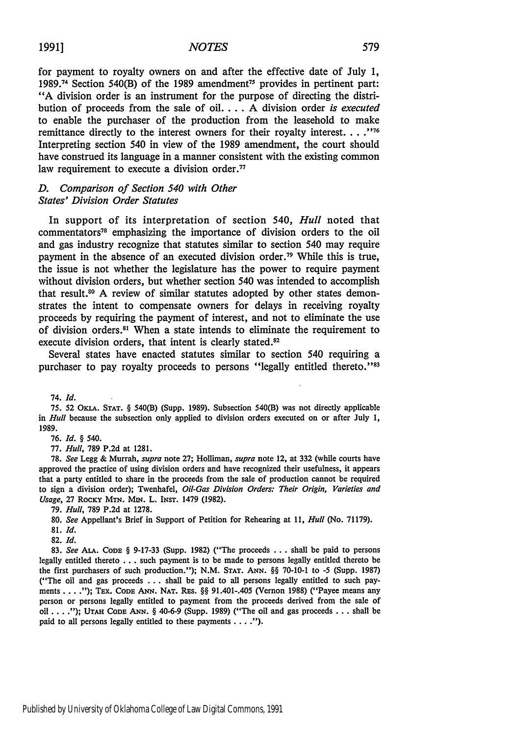for payment to royalty owners on and after the effective date of July **1, 1989.74** Section 540(B) of the **1989** amendment75 provides in pertinent part: **"A** division order is an instrument for the purpose of directing the distribution of proceeds from the sale of **oil.... A** division order *is executed* to enable the purchaser of the production from the leasehold to make remittance directly to the interest owners for their royalty interest **.... "176** Interpreting section 540 in view of the **1989** amendment, the court should have construed its language in a manner consistent with the existing common law requirement to execute a division order.<sup>77</sup>

#### *D. Comparison of Section 540 with Other States' Division Order Statutes*

In support of its interpretation of section *540, Hull* noted that commentators" emphasizing the importance of division orders to the oil and gas industry recognize that statutes similar to section 540 may require payment in the absence of an executed division order.<sup>79</sup> While this is true, the issue is not whether the legislature has the power to require payment without division orders, but whether section 540 **was** intended to accomplish that result.<sup>80</sup> A review of similar statutes adopted by other states demonstrates the intent to compensate owners for delays in receiving royalty proceeds **by** requiring the payment of interest, and not to eliminate the use of division orders.<sup>81</sup> When a state intends to eliminate the requirement to execute division orders, that intent is clearly stated.<sup>82</sup>

Several states have enacted statutes similar to section 540 requiring a purchaser to pay royalty proceeds to persons "legally entitled thereto."<sup>33</sup>

74. *Id.*

**75. 52 OKLA. STAT. §** 540(B) (Supp. **1989).** Subsection 540(B) was not directly applicable in *Hull* because the subsection only applied to division orders executed on or after July **1, 1989.**

**76.** *Id. § 540.*

**77.** *Hull,* **789 P.2d** at **1281.**

**78.** *See* Legg **&** Murrah, *supra* note **27;** Holliman, *supra* note 12, at **332** (while courts have approved the practice of using division orders and have recognized their usefulness, it appears that a party entitled to share in the proceeds from the sale of production cannot be required to sign a division order); Twenhafel, *Oil-Gas Division Orders: Their Origin, Varieties and Usage,* **27 ROCKY MTN.** MiN. L. IN sT. 1479 **(1982).**

**79.** *Hull,* **789 P.2d** at **1278.**

**80.** *See* Appellant's Brief in Support of Petition for Rehearing at **11,** *Hull* (No. **71179).**

**81.** *Id.*

**82.** *Id.*

**83.** *See* **ALA. CODE § 9-17-33** (Supp. **1982)** ("The proceeds **...** shall be paid to persons legally entitled thereto **...** such payment is to be made to persons legally entitled thereto be the first purchasers of such production."); **N.M. STAT. ANN. §§ 70-10-1** to **-5** (Supp. **1987)** ("The oil and gas proceeds **...** shall be paid to all persons legally entitled to such payments **. . . .");** TEx. **CODE** *ANN.* **NAT.** REs. **§§** 91.401-.405 (Vernon **1988)** ("Payee means any person or persons legally entitled to payment from the proceeds derived from the sale of oil **.... "); UTAH CODE ANN. §** 40-6-9 (Supp. **1989)** ("The oil and gas proceeds **. . .** shall be paid to all persons legally entitled to these payments **. . ").**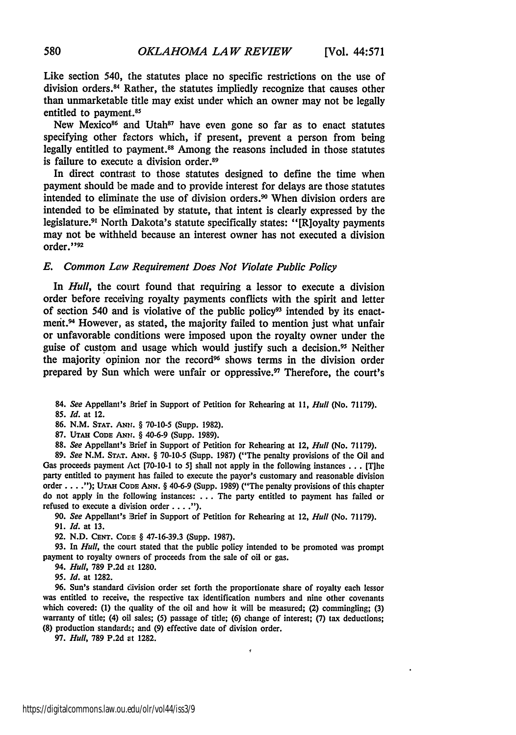Like section 540, the statutes place no specific restrictions on the use of division orders.84 Rather, the statutes impliedly recognize that causes other than unmarketable title may exist under which an owner may not be legally entitled to payment.<sup>85</sup>

New Mexico<sup>86</sup> and Utah<sup>87</sup> have even gone so far as to enact statutes specifying other factors which, if present, prevent a person from being legally entitled to payment.<sup>88</sup> Among the reasons included in those statutes is failure to execute a division order.<sup>89</sup>

In direct contrast to those statutes designed to define the time when payment should be made and to provide interest for delays are those statutes intended to eliminate the use of division orders.<sup>90</sup> When division orders are intended to be eliminated by statute, that intent is clearly expressed by the legislature.<sup>91</sup> North Dakota's statute specifically states: "[R]oyalty payments may not be withheld because an interest owner has not executed a division order."92

#### *E.* Common Law *Requirement Does Not Violate Public Policy*

In *Hull,* the court found that requiring a lessor to execute a division order before receiving royalty payments conflicts with the spirit and letter of section 540 and is violative of the public policy93 intended by its enactment.<sup>94</sup> However, as stated, the majority failed to mention just what unfair or unfavorable conditions were imposed upon the royalty owner under the guise of custom and usage which would justify such a decision." Neither the majority opinion nor the record<sup>96</sup> shows terms in the division order prepared by Sun which were unfair or oppressive.<sup>97</sup> Therefore, the court's

84. *See* Appellant's Brief in Support of Petition for Rehearing at *11, Hull* (No. 71179).

*85. Id.* at 12.

86. N.M. **STAT. ANr.** § 70-10-5 (Supp. 1982).

**87. UTAH CODE** ANr. § 40-6-9 (Supp. **1989).**

**88.** *See* Appellant's Brief in Support of Petition for Rehearing at 12, *Hull* (No. **71179).**

**89.** *See* **N.M. STAT.** *ANN.* § 70-10-5 (Supp. **1987)** ("The penalty provisions of the Oil and Gas proceeds payment Act **[70-10-1** to **5]** shall not apply in the following instances **...** [Tihe party entitled to payment has failed to execute the payor's customary and reasonable division order .... **"); UTAH CODE ANN.** *§* 40-6-9 (Supp. **1989)** ("The penalty provisions of this chapter do not apply in the following instances: **...** The party entitled to payment has failed or refused to execute a division order **.... ).**

**90.** *See* Appellant's Brief in Support of Petition for Rehearing at 12, *Hull* (No. **71179).**

**91.** *Id.* at **13.**

**92. N.D. CENT. CorE** § **47-16-39.3** (Supp. **1987).**

**93.** In *Hull,* the court stated that the public policy intended to **be** promoted was prompt payment to royalty owners of proceeds from the sale of oil or gas.

94. *Hull,* **789 P.2d** at **1280.**

**95.** *Id.* at **1282.**

96. Sun's standard civision order set forth the proportionate share of royalty each lessor was entitled to receive, the respective tax identification numbers and nine other covenants which covered: **(1)** the quality of the oil and how it will be measured; (2) commingling; **(3)** warranty of title; (4) oil sales; **(5)** passage of title; **(6)** change of interest; **(7)** tax deductions; **(8)** production standards; and **(9)** effective date of division order.

ś

**97.** *Hull,* **789 P.2d** at **1282.**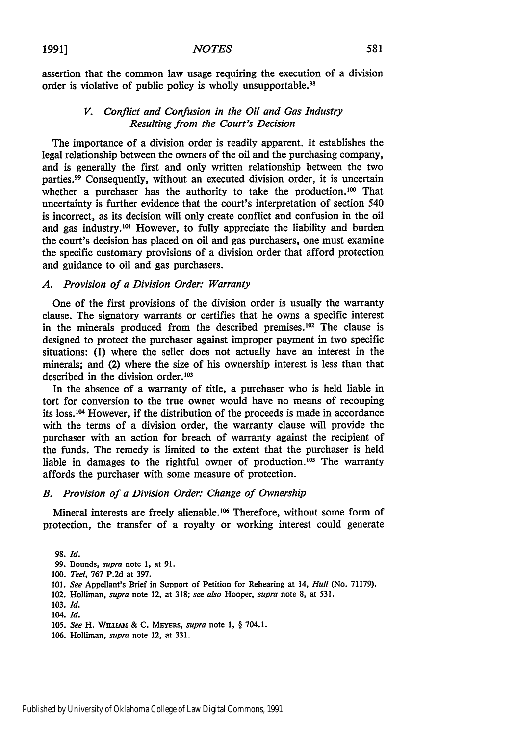assertion that the common law usage requiring the execution of a division order is violative of public policy is wholly unsupportable.<sup>98</sup>

#### *V. Conflict and Confusion in the Oil and Gas Industry Resulting from the Court's Decision*

The importance of a division order is readily apparent. It establishes the legal relationship between the owners of the oil and the purchasing company, and is generally the first and only written relationship between the two parties.<sup>99</sup> Consequently, without an executed division order, it is uncertain whether a purchaser has the authority to take the production.<sup>100</sup> That uncertainty is further evidence that the court's interpretation of section 540 is incorrect, as its decision will only create conflict and confusion in the oil and gas industry.<sup>101</sup> However, to fully appreciate the liability and burden the court's decision has placed on oil and gas purchasers, one must examine the specific customary provisions of a division order that afford protection and guidance to oil and gas purchasers.

#### *A. Provision of a Division Order: Warranty*

One of the first provisions of the division order is usually the warranty clause. The signatory warrants or certifies that he owns a specific interest in the minerals produced from the described premises.<sup>102</sup> The clause is designed to protect the purchaser against improper payment in two specific situations: (1) where the seller does not actually have an interest in the minerals; and (2) where the size of his ownership interest is less than that described in the division order.<sup>103</sup>

In the absence of a warranty of title, a purchaser who is held liable in tort for conversion to the true owner would have no means of recouping its loss.<sup>104</sup> However, if the distribution of the proceeds is made in accordance with the terms of a division order, the warranty clause will provide the purchaser with an action for breach of warranty against the recipient of the funds. The remedy is limited to the extent that the purchaser is held liable in damages to the rightful owner of production.<sup>105</sup> The warranty affords the purchaser with some measure of protection.

#### *B. Provision of a Division Order: Change of Ownership*

Mineral interests are freely alienable.<sup>106</sup> Therefore, without some form of protection, the transfer of a royalty or working interest could generate

102. Holliman, *supra* note 12, at **318;** *see also* Hooper, *supra* note **8,** at **531.**

**106.** Holliman, *supra* note 12, at **331.**

**<sup>98.</sup>** *Id.*

**<sup>99.</sup>** Bounds, *supra* note **1,** at **91.**

**<sup>100.</sup>** *Teel,* **767 P.2d** at **397.**

**<sup>101.</sup>** *See* Appellant's Brief in Support of Petition for Rehearing at 14, *Hull* (No. **71179).**

**<sup>103.</sup>** *Id.*

<sup>104.</sup> *Id.*

**<sup>105.</sup>** *See* H. WiujAm **& C.** MEYERs, *supra* note **1,** § 704.1.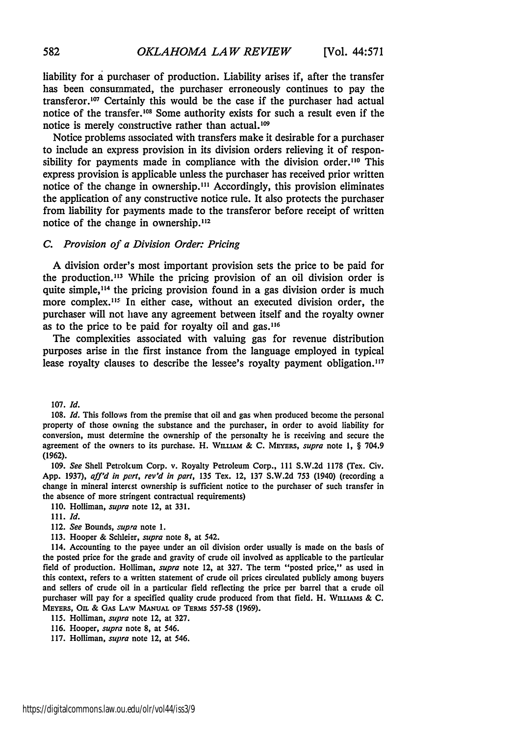liability for a purchaser of production. Liability arises if, after the transfer has been consurnmated, the purchaser erroneously continues to pay the transferor.<sup>107</sup> Certainly this would be the case if the purchaser had actual notice of the transfer.<sup>108</sup> Some authority exists for such a result even if the notice is merely constructive rather than actual. $109$ 

Notice problems associated with transfers make it desirable for a purchaser to include an express provision in its division orders relieving it of responsibility for payments made in compliance with the division order.<sup>110</sup> This express provision is applicable unless the purchaser has received prior written notice of the change in ownership.<sup>111</sup> Accordingly, this provision eliminates the application of any constructive notice rule. It also protects the purchaser from liability for payments made to the transferor before receipt of written notice of the change in ownership.<sup>112</sup>

#### *C. Provision oj' a Division Order: Pricing*

A division order's most important provision sets the price to be paid for the production.<sup>113</sup> While the pricing provision of an oil division order is quite simple,<sup>114</sup> the pricing provision found in a gas division order is much more complex.<sup>115</sup> In either case, without an executed division order, the purchaser will not have any agreement between itself and the royalty owner as to the price to be paid for royalty oil and  $gas$ .<sup>116</sup>

The complexities associated with valuing gas for revenue distribution purposes arise in the first instance from the language employed in typical lease royalty clauses to describe the lessee's royalty payment obligation.<sup>117</sup>

107. *Id.*

**109.** *See* Shell Petrokum Corp. v. Royalty Petroleum Corp., **III S.W.2d 1178** (Tex. Civ. **App. 1937),** *aff'd in part, rev'd in part,* **135** Tex. 12, **137 S.W.2d** *753* (1940) (recording a change in mineral interest ownership is sufficient notice to the purchaser of such transfer in the absence of more stringent contractual requirements)

110. Holliman, *supra* note 12, at 331.

- 112. See Bounds, *supra* note 1.
- 113. Hooper & Schleier, *supra* note **8,** at 542.

114. Accounting to the payee under an oil division order usually is made on the basis of the posted price for the grade and gravity of crude oil involved as applicable to the particular field of production. Holliman, *supra* note 12, at 327. The term "posted price," as used in this context, refers to a written statement of crude oil prices circulated publicly among buyers and sellers of crude oil in a particular field reflecting the price per barrel that a crude oil purchaser will pay for a specified quality crude produced from that field. H. WILLIAMS & C. MEYERS, OIL & GAS LAW MANUAL OF TERMS 557-58 (1969).

115. Holliman, *supra* note 12, at 327.

- 116. Hooper, *supra* note 8, at 546.
- 117. Holliman, *supra* note 12, at 546.

<sup>108.</sup> *Id.* This follows from the premise that oil and gas when produced become the personal property of those owning the substance and the purchaser, in order to avoid liability for conversion, must determine the ownership of the personalty he is receiving and secure the agreement of the owners to its purchase. H. **WLL AM** & C. MEYERS, *supra* note **1,** § 704.9 **(1962).**

<sup>111.</sup> *Id.*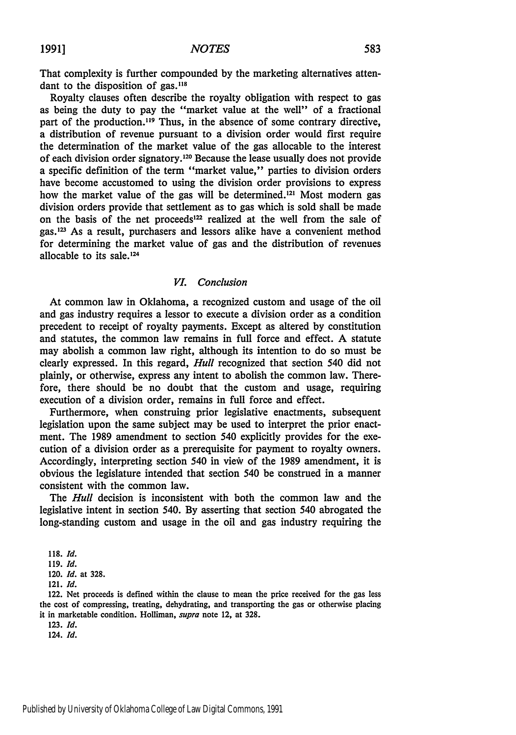That complexity is further compounded **by** the marketing alternatives attendant to the disposition of gas.<sup>118</sup>

Royalty clauses often describe the royalty obligation with respect to gas as being the duty to pay the "market value at the well" of a fractional part of the production.<sup>119</sup> Thus, in the absence of some contrary directive, a distribution of revenue pursuant to a division order would first require the determination of the market value of the gas allocable to the interest of each division order signatory. 120 Because the lease usually does not provide a specific definition of the term "market value," parties to division orders have become accustomed to using the division order provisions to express how the market value of the gas will be determined.<sup>121</sup> Most modern gas division orders provide that settlement as to gas which is sold shall be made on the basis of the net proceeds<sup>122</sup> realized at the well from the sale of gas.<sup>123</sup> As a result, purchasers and lessors alike have a convenient method for determining the market value of gas and the distribution of revenues allocable to its sale. $124$ 

#### *VI. Conclusion*

At common law in Oklahoma, a recognized custom and usage of the oil and gas industry requires a lessor to execute a division order as a condition precedent to receipt of royalty payments. Except as altered by constitution and statutes, the common law remains in full force and effect. A statute may abolish a common law right, although its intention to do so must be clearly expressed. In this regard, *Hull* recognized that section 540 did not plainly, or otherwise, express any intent to abolish the common law. Therefore, there should be no doubt that the custom and usage, requiring execution of a division order, remains in full force and effect.

Furthermore, when construing prior legislative enactments, subsequent legislation upon the same subject may be used to interpret the prior enactment. The 1989 amendment to section 540 explicitly provides for the execution of a division order as a prerequisite for payment to royalty owners. Accordingly, interpreting section 540 in view of the 1989 amendment, it is obvious the legislature intended that section 540 be construed in a manner consistent with the common law.

The *Hull* decision is inconsistent with both the common law and the legislative intent in section 540. By asserting that section 540 abrogated the long-standing custom and usage in the oil and gas industry requiring the

<sup>118.</sup> Id.

<sup>119.</sup> Id.

<sup>120.</sup> **Id.** at 328.

<sup>121.</sup> Id.

<sup>122.</sup> Net proceeds is defined within the clause to mean the price received for the gas less the cost of compressing, treating, dehydrating, and transporting the gas or otherwise placing it in marketable condition. Holliman, *supra* note 12, at 328.

<sup>123.</sup> Id.

<sup>124.</sup> *Id.*